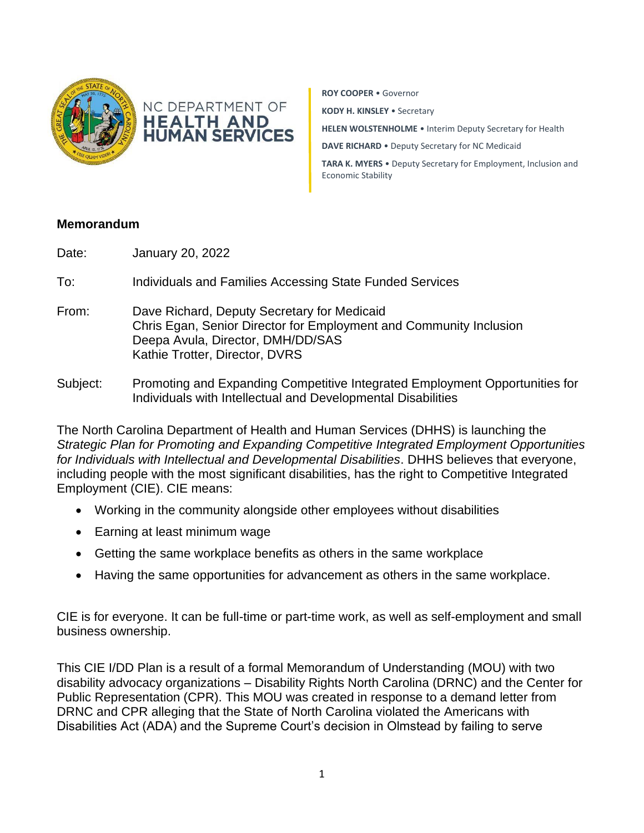



**ROY COOPER** • Governor **KODY H. KINSLEY** • Secretary **HELEN WOLSTENHOLME** • Interim Deputy Secretary for Health **DAVE RICHARD** • Deputy Secretary for NC Medicaid **TARA K. MYERS** • Deputy Secretary for Employment, Inclusion and Economic Stability

## **Memorandum**

Date: January 20, 2022

To: Individuals and Families Accessing State Funded Services

From: Dave Richard, Deputy Secretary for Medicaid Chris Egan, Senior Director for Employment and Community Inclusion Deepa Avula, Director, DMH/DD/SAS Kathie Trotter, Director, DVRS

## Subject: Promoting and Expanding Competitive Integrated Employment Opportunities for Individuals with Intellectual and Developmental Disabilities

The North Carolina Department of Health and Human Services (DHHS) is launching the *Strategic Plan for Promoting and Expanding Competitive Integrated Employment Opportunities for Individuals with Intellectual and Developmental Disabilities*. DHHS believes that everyone, including people with the most significant disabilities, has the right to Competitive Integrated Employment (CIE). CIE means:

- Working in the community alongside other employees without disabilities
- Earning at least minimum wage
- Getting the same workplace benefits as others in the same workplace
- Having the same opportunities for advancement as others in the same workplace.

CIE is for everyone. It can be full-time or part-time work, as well as self-employment and small business ownership.

This CIE I/DD Plan is a result of a formal Memorandum of Understanding (MOU) with two disability advocacy organizations – Disability Rights North Carolina (DRNC) and the Center for Public Representation (CPR). This MOU was created in response to a demand letter from DRNC and CPR alleging that the State of North Carolina violated the Americans with Disabilities Act (ADA) and the Supreme Court's decision in Olmstead by failing to serve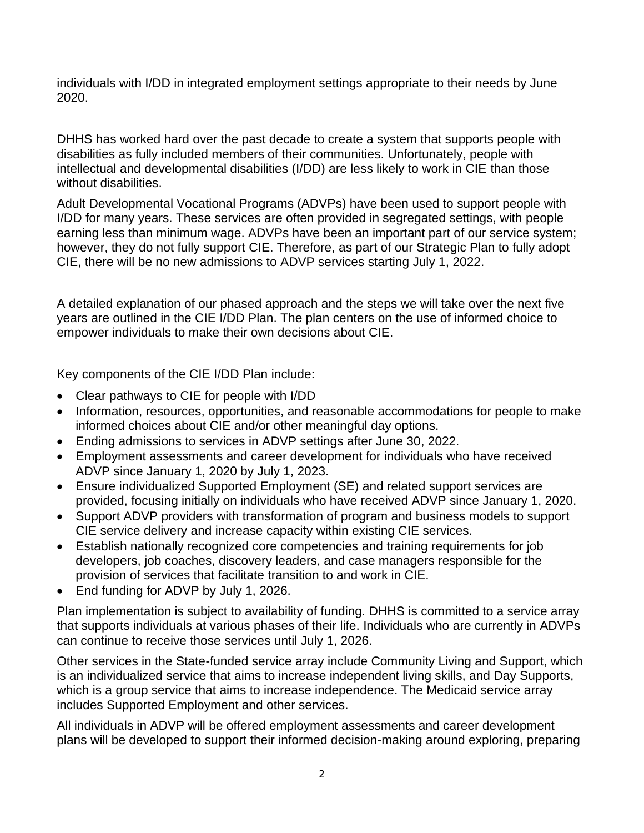individuals with I/DD in integrated employment settings appropriate to their needs by June 2020.

DHHS has worked hard over the past decade to create a system that supports people with disabilities as fully included members of their communities. Unfortunately, people with intellectual and developmental disabilities (I/DD) are less likely to work in CIE than those without disabilities.

Adult Developmental Vocational Programs (ADVPs) have been used to support people with I/DD for many years. These services are often provided in segregated settings, with people earning less than minimum wage. ADVPs have been an important part of our service system; however, they do not fully support CIE. Therefore, as part of our Strategic Plan to fully adopt CIE, there will be no new admissions to ADVP services starting July 1, 2022.

A detailed explanation of our phased approach and the steps we will take over the next five years are outlined in the CIE I/DD Plan. The plan centers on the use of informed choice to empower individuals to make their own decisions about CIE.

Key components of the CIE I/DD Plan include:

- Clear pathways to CIE for people with I/DD
- Information, resources, opportunities, and reasonable accommodations for people to make informed choices about CIE and/or other meaningful day options.
- Ending admissions to services in ADVP settings after June 30, 2022.
- Employment assessments and career development for individuals who have received ADVP since January 1, 2020 by July 1, 2023.
- Ensure individualized Supported Employment (SE) and related support services are provided, focusing initially on individuals who have received ADVP since January 1, 2020.
- Support ADVP providers with transformation of program and business models to support CIE service delivery and increase capacity within existing CIE services.
- Establish nationally recognized core competencies and training requirements for job developers, job coaches, discovery leaders, and case managers responsible for the provision of services that facilitate transition to and work in CIE.
- End funding for ADVP by July 1, 2026.

Plan implementation is subject to availability of funding. DHHS is committed to a service array that supports individuals at various phases of their life. Individuals who are currently in ADVPs can continue to receive those services until July 1, 2026.

Other services in the State-funded service array include Community Living and Support, which is an individualized service that aims to increase independent living skills, and Day Supports, which is a group service that aims to increase independence. The Medicaid service array includes Supported Employment and other services.

All individuals in ADVP will be offered employment assessments and career development plans will be developed to support their informed decision-making around exploring, preparing